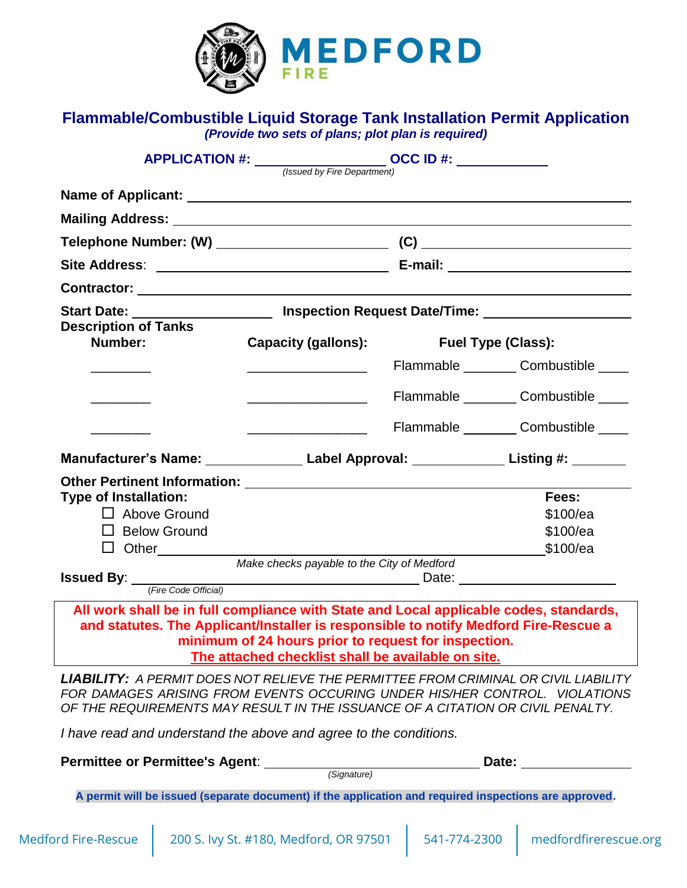

### **Flammable/Combustible Liquid Storage Tank Installation Permit Application** *(Provide two sets of plans; plot plan is required)*

|                                                                                                                                                                                |                                                                                                            | APPLICATION #: $\frac{1}{\frac{1}{\frac{3}{2} \cdot \frac{1}{2} \cdot \frac{1}{2} \cdot \frac{1}{2} \cdot \frac{1}{2} \cdot \frac{1}{2} \cdot \frac{1}{2} \cdot \frac{1}{2} \cdot \frac{1}{2} \cdot \frac{1}{2} \cdot \frac{1}{2} \cdot \frac{1}{2} \cdot \frac{1}{2} \cdot \frac{1}{2} \cdot \frac{1}{2} \cdot \frac{1}{2} \cdot \frac{1}{2} \cdot \frac{1}{2} \cdot \frac{1}{2} \cdot \frac{1}{2} \cdot \frac{1}{2} \cdot \frac{1}{2$ |                                         |  |
|--------------------------------------------------------------------------------------------------------------------------------------------------------------------------------|------------------------------------------------------------------------------------------------------------|-----------------------------------------------------------------------------------------------------------------------------------------------------------------------------------------------------------------------------------------------------------------------------------------------------------------------------------------------------------------------------------------------------------------------------------------|-----------------------------------------|--|
|                                                                                                                                                                                |                                                                                                            |                                                                                                                                                                                                                                                                                                                                                                                                                                         |                                         |  |
|                                                                                                                                                                                |                                                                                                            |                                                                                                                                                                                                                                                                                                                                                                                                                                         |                                         |  |
|                                                                                                                                                                                |                                                                                                            |                                                                                                                                                                                                                                                                                                                                                                                                                                         |                                         |  |
|                                                                                                                                                                                |                                                                                                            |                                                                                                                                                                                                                                                                                                                                                                                                                                         |                                         |  |
|                                                                                                                                                                                |                                                                                                            |                                                                                                                                                                                                                                                                                                                                                                                                                                         |                                         |  |
|                                                                                                                                                                                |                                                                                                            |                                                                                                                                                                                                                                                                                                                                                                                                                                         |                                         |  |
| Start Date: __________________________ Inspection Request Date/Time: __________________                                                                                        |                                                                                                            |                                                                                                                                                                                                                                                                                                                                                                                                                                         |                                         |  |
| <b>Description of Tanks</b><br>Number:                                                                                                                                         | <b>Capacity (gallons):</b>                                                                                 |                                                                                                                                                                                                                                                                                                                                                                                                                                         | Fuel Type (Class):                      |  |
|                                                                                                                                                                                |                                                                                                            |                                                                                                                                                                                                                                                                                                                                                                                                                                         | Flammable ___________ Combustible _____ |  |
| <u> 1990 - Jan Barnett, politik e</u>                                                                                                                                          |                                                                                                            |                                                                                                                                                                                                                                                                                                                                                                                                                                         | Flammable __________ Combustible _____  |  |
|                                                                                                                                                                                |                                                                                                            |                                                                                                                                                                                                                                                                                                                                                                                                                                         | Flammable _________ Combustible _____   |  |
| Manufacturer's Name: Label Approval: Listing #: Listing #:                                                                                                                     |                                                                                                            |                                                                                                                                                                                                                                                                                                                                                                                                                                         |                                         |  |
|                                                                                                                                                                                |                                                                                                            |                                                                                                                                                                                                                                                                                                                                                                                                                                         |                                         |  |
| <b>Type of Installation:</b>                                                                                                                                                   |                                                                                                            |                                                                                                                                                                                                                                                                                                                                                                                                                                         | Fees:                                   |  |
| □ Above Ground                                                                                                                                                                 |                                                                                                            |                                                                                                                                                                                                                                                                                                                                                                                                                                         | \$100/ea                                |  |
| $\Box$ Below Ground                                                                                                                                                            |                                                                                                            |                                                                                                                                                                                                                                                                                                                                                                                                                                         | \$100/ea                                |  |
| $\Box$ Other                                                                                                                                                                   |                                                                                                            |                                                                                                                                                                                                                                                                                                                                                                                                                                         | \$100/ea                                |  |
|                                                                                                                                                                                | Make checks payable to the City of Medford                                                                 |                                                                                                                                                                                                                                                                                                                                                                                                                                         |                                         |  |
| <b>Issued By:</b> <i>(Fire Code Official)</i> Date: <u>Date:</u>                                                                                                               |                                                                                                            |                                                                                                                                                                                                                                                                                                                                                                                                                                         |                                         |  |
| All work shall be in full compliance with State and Local applicable codes, standards,<br>and statutes. The Applicant/Installer is responsible to notify Medford Fire-Rescue a | minimum of 24 hours prior to request for inspection.<br>The attached checklist shall be available on site. |                                                                                                                                                                                                                                                                                                                                                                                                                                         |                                         |  |
| <b>LIABILITY: A PERMIT DOES NOT RELIEVE THE PERMITTEE FROM CRIMINAL OR CIVIL LIABILITY</b><br>FOR DAMAGES ARISING FROM EVENTS OCCURING UNDER HIS/HER CONTROL. VIOLATIONS       |                                                                                                            |                                                                                                                                                                                                                                                                                                                                                                                                                                         |                                         |  |

*FOR DAMAGES ARISING FROM EVENTS OCCURING UNDER HIS/HER CONTROL. VIOLATIONS OF THE REQUIREMENTS MAY RESULT IN THE ISSUANCE OF A CITATION OR CIVIL PENALTY.*

*I have read and understand the above and agree to the conditions.*

| <b>Permittee or Permittee's Agent:</b>                                                                |  | Date:                                  |              |                       |  |
|-------------------------------------------------------------------------------------------------------|--|----------------------------------------|--------------|-----------------------|--|
|                                                                                                       |  | (Signature)                            |              |                       |  |
| A permit will be issued (separate document) if the application and required inspections are approved. |  |                                        |              |                       |  |
|                                                                                                       |  |                                        |              |                       |  |
| <b>Medford Fire-Rescue</b>                                                                            |  | 200 S. Ivy St. #180, Medford, OR 97501 | 541-774-2300 | medfordfirerescue.org |  |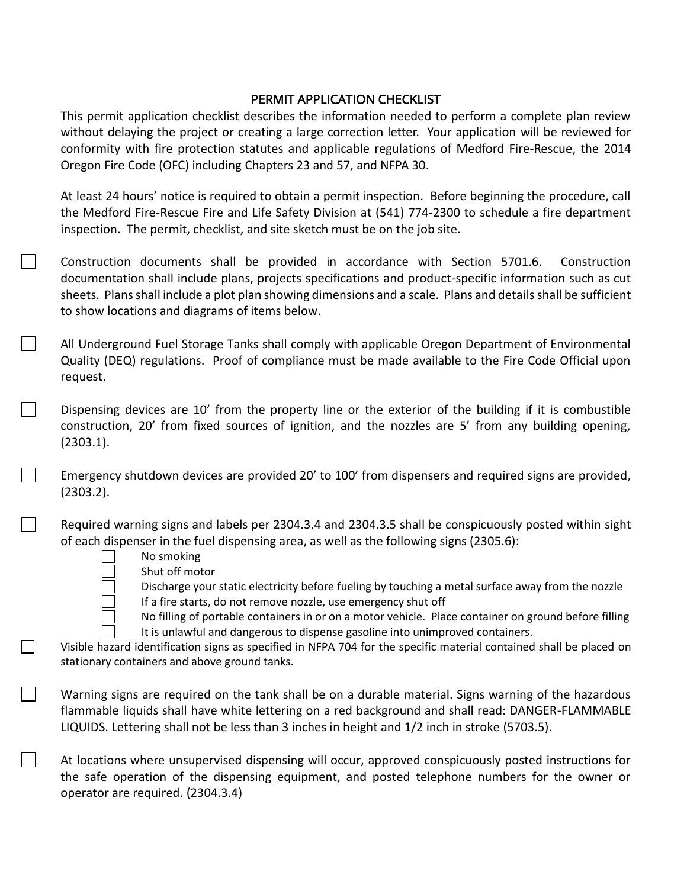### PERMIT APPLICATION CHECKLIST

This permit application checklist describes the information needed to perform a complete plan review without delaying the project or creating a large correction letter. Your application will be reviewed for conformity with fire protection statutes and applicable regulations of Medford Fire-Rescue, the 2014 Oregon Fire Code (OFC) including Chapters 23 and 57, and NFPA 30.

At least 24 hours' notice is required to obtain a permit inspection. Before beginning the procedure, call the Medford Fire-Rescue Fire and Life Safety Division at (541) 774-2300 to schedule a fire department inspection. The permit, checklist, and site sketch must be on the job site.

Construction documents shall be provided in accordance with Section 5701.6. Construction documentation shall include plans, projects specifications and product-specific information such as cut sheets. Plans shall include a plot plan showing dimensions and a scale. Plans and details shall be sufficient to show locations and diagrams of items below.

All Underground Fuel Storage Tanks shall comply with applicable Oregon Department of Environmental Quality (DEQ) regulations. Proof of compliance must be made available to the Fire Code Official upon request.

Dispensing devices are 10' from the property line or the exterior of the building if it is combustible construction, 20' from fixed sources of ignition, and the nozzles are 5' from any building opening, (2303.1).

Emergency shutdown devices are provided 20' to 100' from dispensers and required signs are provided, (2303.2).

Required warning signs and labels per 2304.3.4 and 2304.3.5 shall be conspicuously posted within sight of each dispenser in the fuel dispensing area, as well as the following signs (2305.6):

- No smoking
	- Shut off motor

Discharge your static electricity before fueling by touching a metal surface away from the nozzle If a fire starts, do not remove nozzle, use emergency shut off

No filling of portable containers in or on a motor vehicle. Place container on ground before filling It is unlawful and dangerous to dispense gasoline into unimproved containers.

Visible hazard identification signs as specified in NFPA 704 for the specific material contained shall be placed on stationary containers and above ground tanks.

Warning signs are required on the tank shall be on a durable material. Signs warning of the hazardous flammable liquids shall have white lettering on a red background and shall read: DANGER-FLAMMABLE LIQUIDS. Lettering shall not be less than 3 inches in height and 1/2 inch in stroke (5703.5).

At locations where unsupervised dispensing will occur, approved conspicuously posted instructions for the safe operation of the dispensing equipment, and posted telephone numbers for the owner or operator are required. (2304.3.4)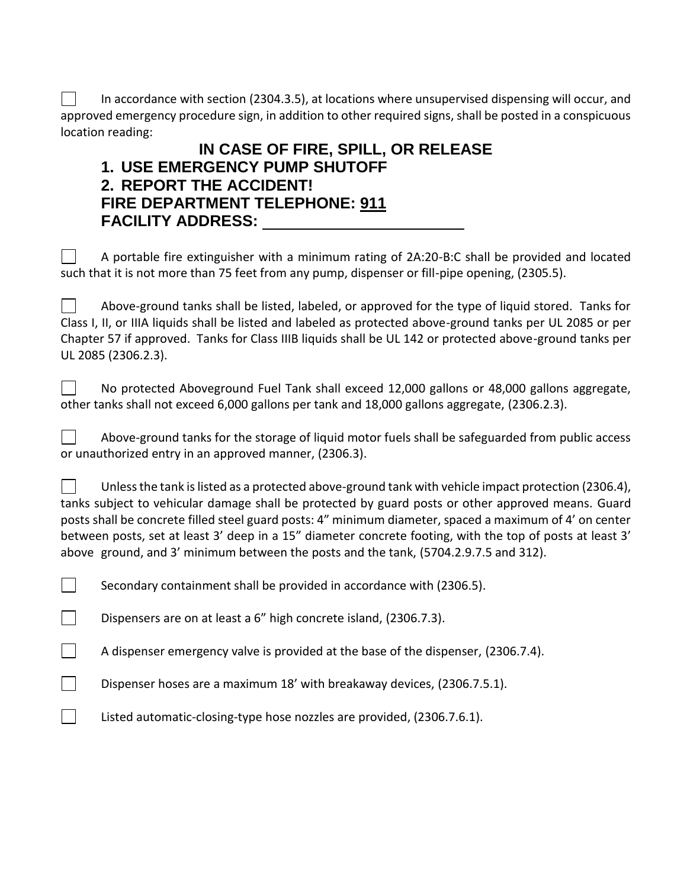In accordance with section (2304.3.5), at locations where unsupervised dispensing will occur, and approved emergency procedure sign, in addition to other required signs, shall be posted in a conspicuous location reading:

## **IN CASE OF FIRE, SPILL, OR RELEASE 1. USE EMERGENCY PUMP SHUTOFF 2. REPORT THE ACCIDENT! FIRE DEPARTMENT TELEPHONE: 911 FACILITY ADDRESS:**

A portable fire extinguisher with a minimum rating of 2A:20-B:C shall be provided and located such that it is not more than 75 feet from any pump, dispenser or fill-pipe opening, (2305.5).

Above-ground tanks shall be listed, labeled, or approved for the type of liquid stored. Tanks for  $\mathbf{1}$ Class I, II, or IIIA liquids shall be listed and labeled as protected above-ground tanks per UL 2085 or per Chapter 57 if approved. Tanks for Class IIIB liquids shall be UL 142 or protected above-ground tanks per UL 2085 (2306.2.3).

No protected Aboveground Fuel Tank shall exceed 12,000 gallons or 48,000 gallons aggregate,  $\mathbf{I}$ other tanks shall not exceed 6,000 gallons per tank and 18,000 gallons aggregate, (2306.2.3).

 $\mathbb{R}^n$ Above-ground tanks for the storage of liquid motor fuels shall be safeguarded from public access or unauthorized entry in an approved manner, (2306.3).

 $\mathbb{R}^n$ Unlessthe tank is listed as a protected above-ground tank with vehicle impact protection (2306.4), tanks subject to vehicular damage shall be protected by guard posts or other approved means. Guard posts shall be concrete filled steel guard posts: 4" minimum diameter, spaced a maximum of 4' on center between posts, set at least 3' deep in a 15" diameter concrete footing, with the top of posts at least 3' above ground, and 3' minimum between the posts and the tank, (5704.2.9.7.5 and 312).

Secondary containment shall be provided in accordance with (2306.5).

 $\overline{\phantom{a}}$ Dispensers are on at least a 6" high concrete island, (2306.7.3).

 $\mathbf{L}$ 

 $\mathcal{L}^{\text{max}}$ 

 $\mathcal{L}^{\text{max}}$ 

A dispenser emergency valve is provided at the base of the dispenser, (2306.7.4).

Dispenser hoses are a maximum 18' with breakaway devices, (2306.7.5.1).

Listed automatic-closing-type hose nozzles are provided, (2306.7.6.1).